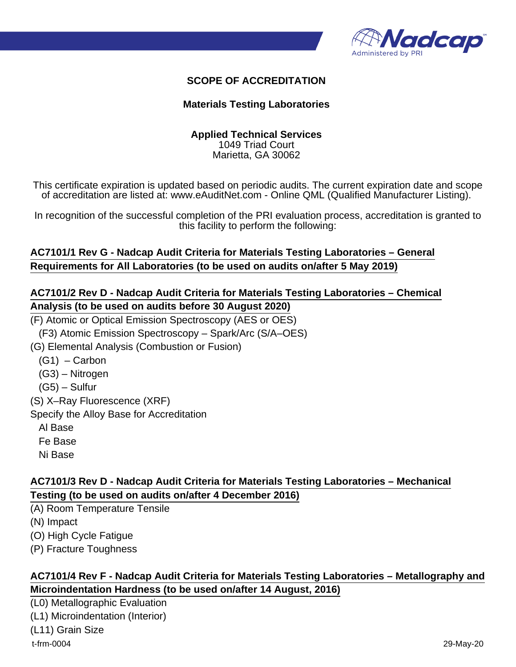

#### **SCOPE OF ACCREDITATION**

#### **Materials Testing Laboratories**

#### **Applied Technical Services** 1049 Triad Court

Marietta, GA 30062

This certificate expiration is updated based on periodic audits. The current expiration date and scope of accreditation are listed at: www.eAuditNet.com - Online QML (Qualified Manufacturer Listing).

In recognition of the successful completion of the PRI evaluation process, accreditation is granted to this facility to perform the following:

#### **AC7101/1 Rev G - Nadcap Audit Criteria for Materials Testing Laboratories – General Requirements for All Laboratories (to be used on audits on/after 5 May 2019)**

#### **AC7101/2 Rev D - Nadcap Audit Criteria for Materials Testing Laboratories – Chemical Analysis (to be used on audits before 30 August 2020)**

(F) Atomic or Optical Emission Spectroscopy (AES or OES)

(F3) Atomic Emission Spectroscopy – Spark/Arc (S/A–OES)

(G) Elemental Analysis (Combustion or Fusion)

- $(G1)$  Carbon
- (G3) Nitrogen
- (G5) Sulfur

(S) X–Ray Fluorescence (XRF)

Specify the Alloy Base for Accreditation

- Al Base
- Fe Base
- Ni Base

### **AC7101/3 Rev D - Nadcap Audit Criteria for Materials Testing Laboratories – Mechanical Testing (to be used on audits on/after 4 December 2016)**

(A) Room Temperature Tensile

(N) Impact

(O) High Cycle Fatigue

(P) Fracture Toughness

#### **AC7101/4 Rev F - Nadcap Audit Criteria for Materials Testing Laboratories – Metallography and Microindentation Hardness (to be used on/after 14 August, 2016)**

(L0) Metallographic Evaluation (L1) Microindentation (Interior) (L11) Grain Size t-frm-0004 29-May-20